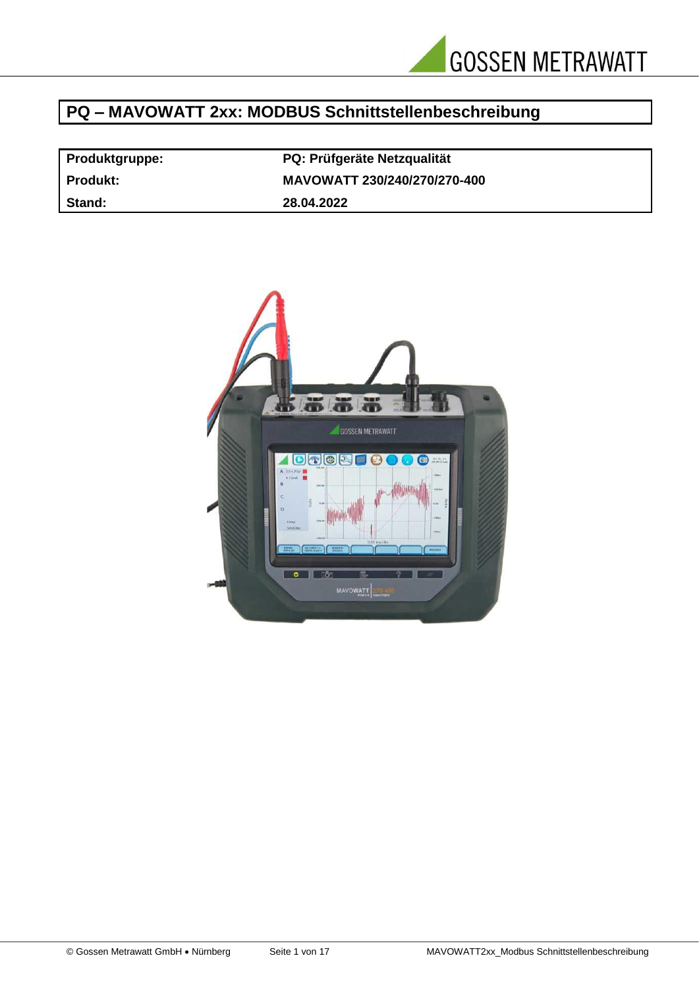

# **PQ – MAVOWATT 2xx: MODBUS Schnittstellenbeschreibung**

| <b>Produktgruppe:</b> | <b>PQ: Prüfgeräte Netzqualität</b> |
|-----------------------|------------------------------------|
| Produkt:              | MAVOWATT 230/240/270/270-400       |
| Stand:                | 28.04.2022                         |

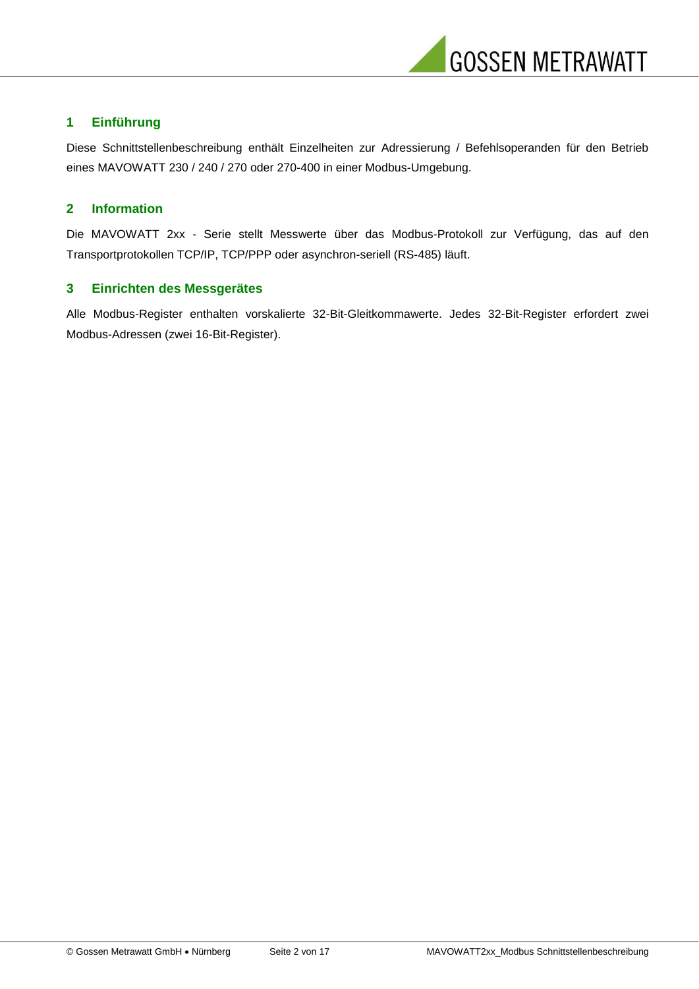

## **1 Einführung**

Diese Schnittstellenbeschreibung enthält Einzelheiten zur Adressierung / Befehlsoperanden für den Betrieb eines MAVOWATT 230 / 240 / 270 oder 270-400 in einer Modbus-Umgebung.

#### **2 Information**

Die MAVOWATT 2xx - Serie stellt Messwerte über das Modbus-Protokoll zur Verfügung, das auf den Transportprotokollen TCP/IP, TCP/PPP oder asynchron-seriell (RS-485) läuft.

#### **3 Einrichten des Messgerätes**

Alle Modbus-Register enthalten vorskalierte 32-Bit-Gleitkommawerte. Jedes 32-Bit-Register erfordert zwei Modbus-Adressen (zwei 16-Bit-Register).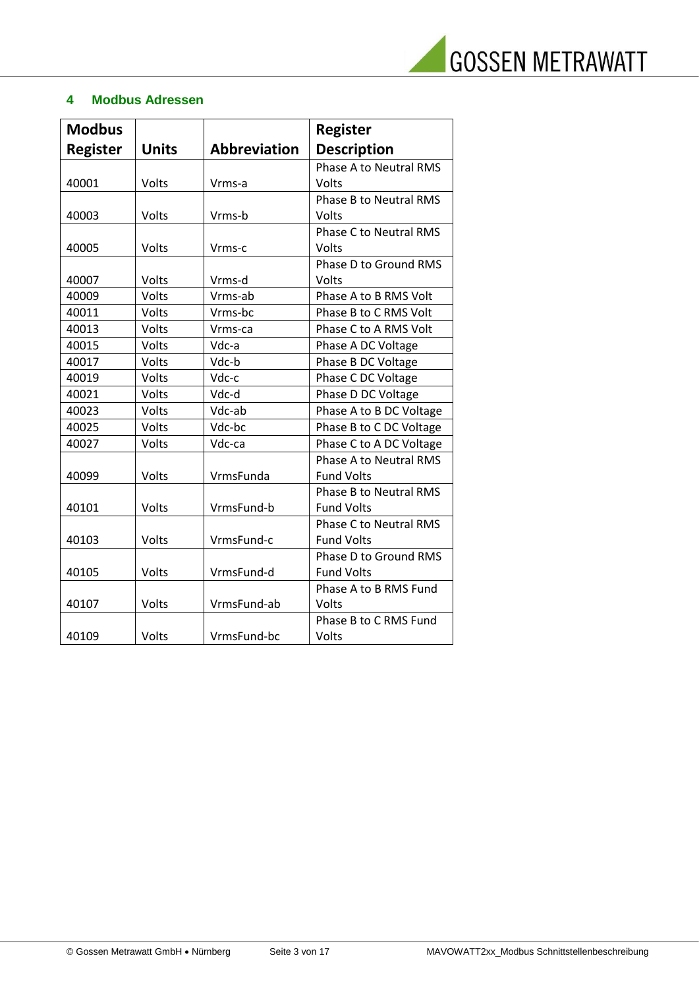

# **4 Modbus Adressen**

| <b>Modbus</b>   |              |                     | <b>Register</b>               |
|-----------------|--------------|---------------------|-------------------------------|
| <b>Register</b> | <b>Units</b> | <b>Abbreviation</b> | <b>Description</b>            |
|                 |              |                     | <b>Phase A to Neutral RMS</b> |
| 40001           | Volts        | Vrms-a              | Volts                         |
|                 |              |                     | <b>Phase B to Neutral RMS</b> |
| 40003           | Volts        | Vrms-b              | Volts                         |
|                 |              |                     | <b>Phase C to Neutral RMS</b> |
| 40005           | Volts        | Vrms-c              | Volts                         |
|                 |              |                     | Phase D to Ground RMS         |
| 40007           | Volts        | Vrms-d              | Volts                         |
| 40009           | Volts        | Vrms-ab             | Phase A to B RMS Volt         |
| 40011           | Volts        | Vrms-bc             | Phase B to C RMS Volt         |
| 40013           | Volts        | Vrms-ca             | Phase C to A RMS Volt         |
| 40015           | Volts        | Vdc-a               | Phase A DC Voltage            |
| 40017           | Volts        | Vdc-b               | Phase B DC Voltage            |
| 40019           | Volts        | Vdc-c               | Phase C DC Voltage            |
| 40021           | Volts        | Vdc-d               | Phase D DC Voltage            |
| 40023           | Volts        | Vdc-ab              | Phase A to B DC Voltage       |
| 40025           | Volts        | Vdc-bc              | Phase B to C DC Voltage       |
| 40027           | Volts        | Vdc-ca              | Phase C to A DC Voltage       |
|                 |              |                     | <b>Phase A to Neutral RMS</b> |
| 40099           | Volts        | VrmsFunda           | <b>Fund Volts</b>             |
|                 |              |                     | <b>Phase B to Neutral RMS</b> |
| 40101           | Volts        | VrmsFund-b          | <b>Fund Volts</b>             |
|                 |              |                     | <b>Phase C to Neutral RMS</b> |
| 40103           | Volts        | VrmsFund-c          | <b>Fund Volts</b>             |
|                 |              |                     | Phase D to Ground RMS         |
| 40105           | Volts        | VrmsFund-d          | <b>Fund Volts</b>             |
|                 |              |                     | Phase A to B RMS Fund         |
| 40107           | Volts        | VrmsFund-ab         | Volts                         |
|                 |              |                     | Phase B to C RMS Fund         |
| 40109           | Volts        | VrmsFund-bc         | Volts                         |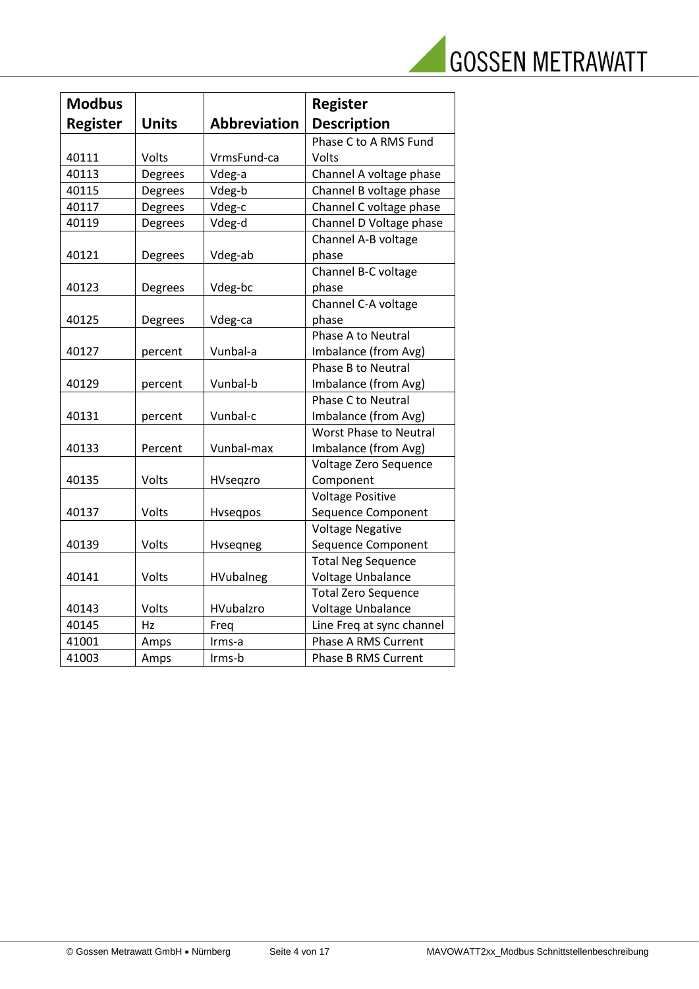|  | <b>GOSSEN METRAWATT</b> |
|--|-------------------------|
|  |                         |

| <b>Modbus</b>   |              |                     | <b>Register</b>               |
|-----------------|--------------|---------------------|-------------------------------|
| <b>Register</b> | <b>Units</b> | <b>Abbreviation</b> | <b>Description</b>            |
|                 |              |                     | Phase C to A RMS Fund         |
| 40111           | Volts        | VrmsFund-ca         | Volts                         |
| 40113           | Degrees      | Vdeg-a              | Channel A voltage phase       |
| 40115           | Degrees      | Vdeg-b              | Channel B voltage phase       |
| 40117           | Degrees      | Vdeg-c              | Channel C voltage phase       |
| 40119           | Degrees      | Vdeg-d              | Channel D Voltage phase       |
|                 |              |                     | Channel A-B voltage           |
| 40121           | Degrees      | Vdeg-ab             | phase                         |
|                 |              |                     | Channel B-C voltage           |
| 40123           | Degrees      | Vdeg-bc             | phase                         |
|                 |              |                     | Channel C-A voltage           |
| 40125           | Degrees      | Vdeg-ca             | phase                         |
|                 |              |                     | <b>Phase A to Neutral</b>     |
| 40127           | percent      | Vunbal-a            | Imbalance (from Avg)          |
|                 |              |                     | <b>Phase B to Neutral</b>     |
| 40129           | percent      | Vunbal-b            | Imbalance (from Avg)          |
|                 |              |                     | <b>Phase C to Neutral</b>     |
| 40131           | percent      | Vunbal-c            | Imbalance (from Avg)          |
|                 |              |                     | <b>Worst Phase to Neutral</b> |
| 40133           | Percent      | Vunbal-max          | Imbalance (from Avg)          |
|                 |              |                     | Voltage Zero Sequence         |
| 40135           | Volts        | HVseqzro            | Component                     |
|                 |              |                     | <b>Voltage Positive</b>       |
| 40137           | Volts        | Hvseqpos            | Sequence Component            |
|                 |              |                     | <b>Voltage Negative</b>       |
| 40139           | Volts        | Hvseqneg            | Sequence Component            |
|                 |              |                     | <b>Total Neg Sequence</b>     |
| 40141           | Volts        | HVubalneg           | Voltage Unbalance             |
|                 |              |                     | <b>Total Zero Sequence</b>    |
| 40143           | Volts        | HVubalzro           | Voltage Unbalance             |
| 40145           | Hz           | Freq                | Line Freq at sync channel     |
| 41001           | Amps         | Irms-a              | Phase A RMS Current           |
| 41003           | Amps         | Irms-b              | <b>Phase B RMS Current</b>    |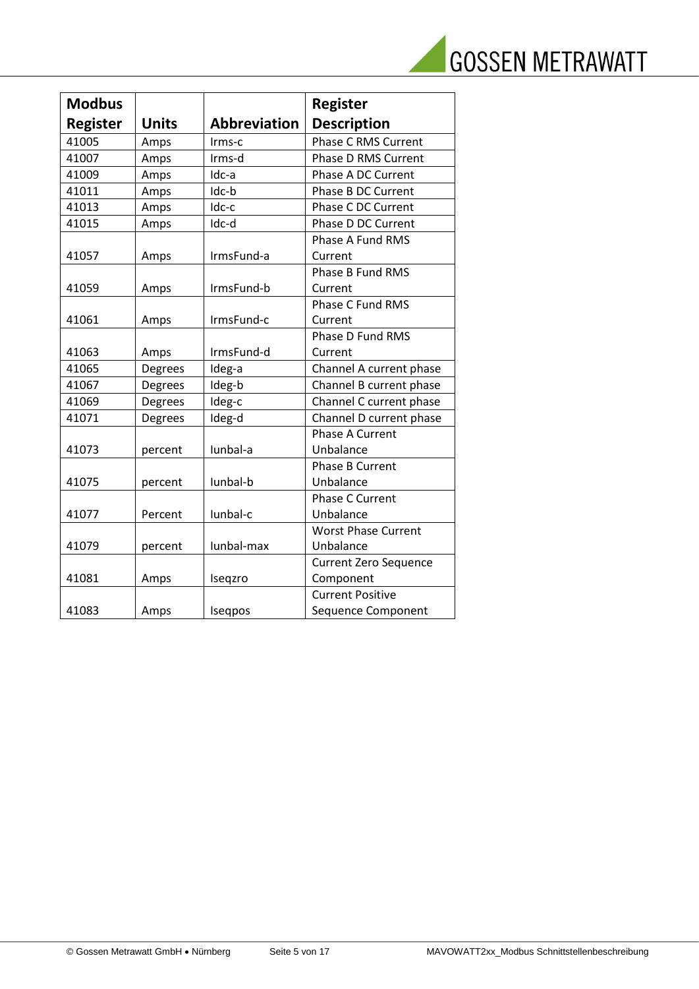

| <b>Modbus</b>   |              |                     | <b>Register</b>              |
|-----------------|--------------|---------------------|------------------------------|
| <b>Register</b> | <b>Units</b> | <b>Abbreviation</b> | <b>Description</b>           |
| 41005           | Amps         | Irms-c              | <b>Phase C RMS Current</b>   |
| 41007           | Amps         | Irms-d              | Phase D RMS Current          |
| 41009           | Amps         | Idc-a               | Phase A DC Current           |
| 41011           | Amps         | Idc-b               | Phase B DC Current           |
| 41013           | Amps         | Idc-c               | Phase C DC Current           |
| 41015           | Amps         | Idc-d               | Phase D DC Current           |
|                 |              |                     | Phase A Fund RMS             |
| 41057           | Amps         | IrmsFund-a          | Current                      |
|                 |              |                     | <b>Phase B Fund RMS</b>      |
| 41059           | Amps         | IrmsFund-b          | Current                      |
|                 |              |                     | Phase C Fund RMS             |
| 41061           | Amps         | IrmsFund-c          | Current                      |
|                 |              |                     | Phase D Fund RMS             |
| 41063           | Amps         | IrmsFund-d          | Current                      |
| 41065           | Degrees      | Ideg-a              | Channel A current phase      |
| 41067           | Degrees      | Ideg-b              | Channel B current phase      |
| 41069           | Degrees      | Ideg-c              | Channel C current phase      |
| 41071           | Degrees      | Ideg-d              | Channel D current phase      |
|                 |              |                     | Phase A Current              |
| 41073           | percent      | Iunbal-a            | Unbalance                    |
|                 |              |                     | <b>Phase B Current</b>       |
| 41075           | percent      | lunbal-b            | Unbalance                    |
|                 |              |                     | <b>Phase C Current</b>       |
| 41077           | Percent      | Iunbal-c            | Unbalance                    |
|                 |              |                     | <b>Worst Phase Current</b>   |
| 41079           | percent      | Iunbal-max          | Unbalance                    |
|                 |              |                     | <b>Current Zero Sequence</b> |
| 41081           | Amps         | Iseqzro             | Component                    |
|                 |              |                     | <b>Current Positive</b>      |
| 41083           | Amps         | Iseqpos             | Sequence Component           |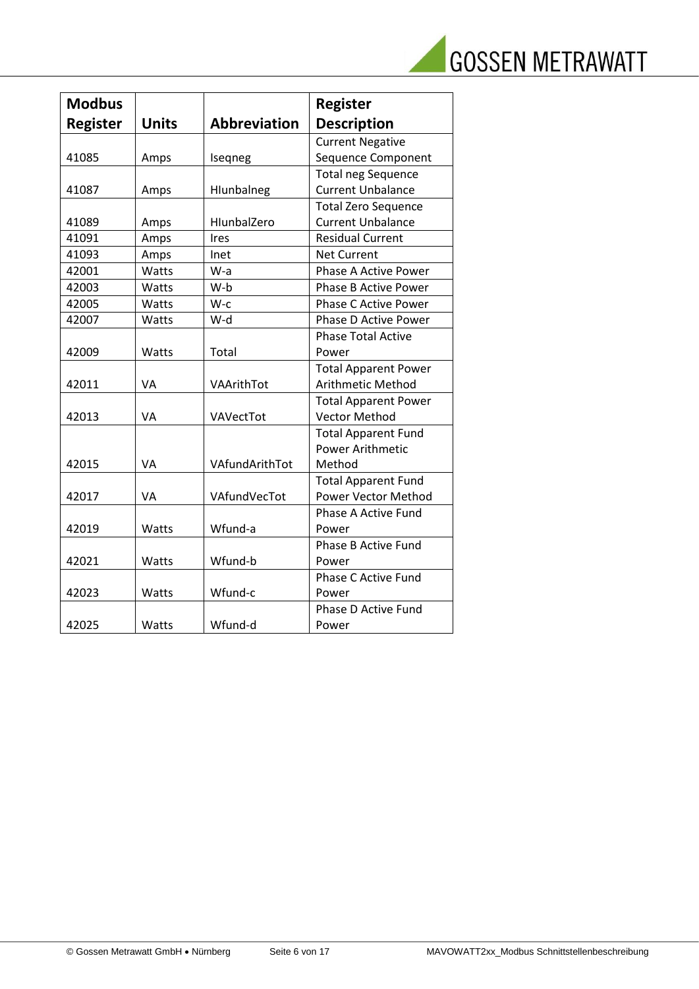

| <b>Modbus</b>   |              |                     | <b>Register</b>             |
|-----------------|--------------|---------------------|-----------------------------|
| <b>Register</b> | <b>Units</b> | <b>Abbreviation</b> | <b>Description</b>          |
|                 |              |                     | <b>Current Negative</b>     |
| 41085           | Amps         | Iseqneg             | Sequence Component          |
|                 |              |                     | <b>Total neg Sequence</b>   |
| 41087           | Amps         | Hlunbalneg          | <b>Current Unbalance</b>    |
|                 |              |                     | <b>Total Zero Sequence</b>  |
| 41089           | Amps         | HlunbalZero         | <b>Current Unbalance</b>    |
| 41091           | Amps         | Ires                | <b>Residual Current</b>     |
| 41093           | Amps         | Inet                | <b>Net Current</b>          |
| 42001           | Watts        | W-a                 | <b>Phase A Active Power</b> |
| 42003           | Watts        | W-b                 | <b>Phase B Active Power</b> |
| 42005           | Watts        | W-c                 | <b>Phase C Active Power</b> |
| 42007           | Watts        | W-d                 | Phase D Active Power        |
|                 |              |                     | <b>Phase Total Active</b>   |
| 42009           | Watts        | Total               | Power                       |
|                 |              |                     | <b>Total Apparent Power</b> |
| 42011           | VA           | VAArithTot          | Arithmetic Method           |
|                 |              |                     | <b>Total Apparent Power</b> |
| 42013           | VA           | VAVectTot           | <b>Vector Method</b>        |
|                 |              |                     | <b>Total Apparent Fund</b>  |
|                 |              |                     | Power Arithmetic            |
| 42015           | VA           | VAfundArithTot      | Method                      |
|                 |              |                     | <b>Total Apparent Fund</b>  |
| 42017           | VA           | VAfundVecTot        | Power Vector Method         |
|                 |              |                     | Phase A Active Fund         |
| 42019           | Watts        | Wfund-a             | Power                       |
|                 |              |                     | <b>Phase B Active Fund</b>  |
| 42021           | Watts        | Wfund-b             | Power                       |
|                 |              |                     | Phase C Active Fund         |
| 42023           | Watts        | Wfund-c             | Power                       |
|                 |              |                     | <b>Phase D Active Fund</b>  |
| 42025           | Watts        | Wfund-d             | Power                       |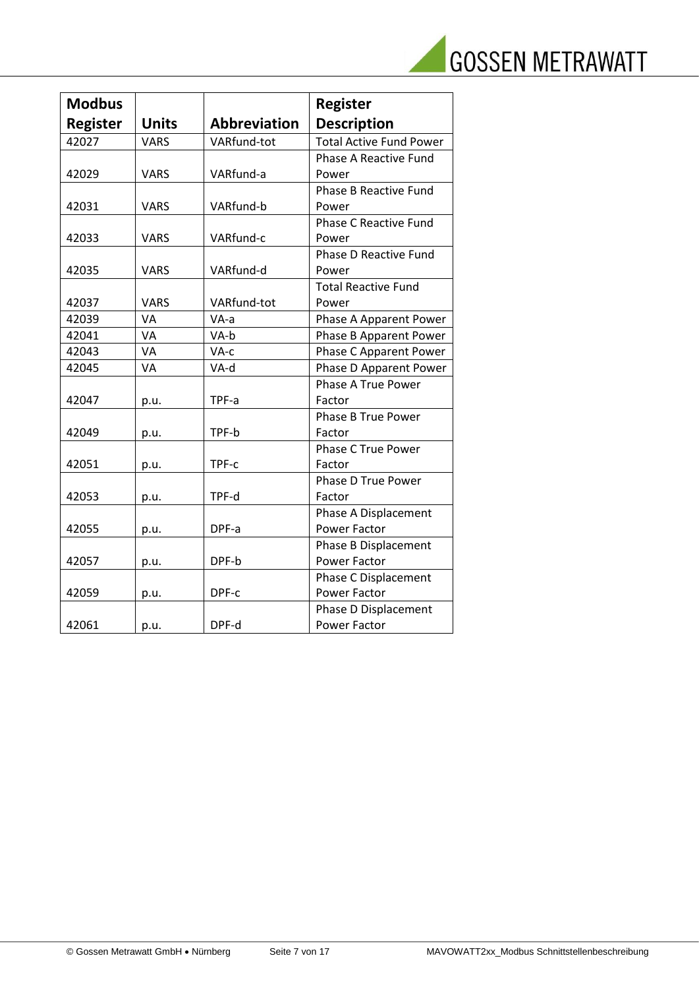|  |  |  | <b>GOSSEN METRAWATT</b> |
|--|--|--|-------------------------|
|--|--|--|-------------------------|

| <b>Modbus</b>   |              |                     | <b>Register</b>                |
|-----------------|--------------|---------------------|--------------------------------|
| <b>Register</b> | <b>Units</b> | <b>Abbreviation</b> | <b>Description</b>             |
| 42027           | <b>VARS</b>  | VARfund-tot         | <b>Total Active Fund Power</b> |
|                 |              |                     | <b>Phase A Reactive Fund</b>   |
| 42029           | <b>VARS</b>  | VARfund-a           | Power                          |
|                 |              |                     | <b>Phase B Reactive Fund</b>   |
| 42031           | <b>VARS</b>  | VARfund-b           | Power                          |
|                 |              |                     | <b>Phase C Reactive Fund</b>   |
| 42033           | <b>VARS</b>  | VARfund-c           | Power                          |
|                 |              |                     | Phase D Reactive Fund          |
| 42035           | <b>VARS</b>  | VARfund-d           | Power                          |
|                 |              |                     | <b>Total Reactive Fund</b>     |
| 42037           | <b>VARS</b>  | VARfund-tot         | Power                          |
| 42039           | VA           | VA-a                | Phase A Apparent Power         |
| 42041           | VA           | VA-b                | Phase B Apparent Power         |
| 42043           | VA           | VA-c                | Phase C Apparent Power         |
| 42045           | VA           | VA-d                | Phase D Apparent Power         |
|                 |              |                     | Phase A True Power             |
| 42047           | p.u.         | TPF-a               | Factor                         |
|                 |              |                     | Phase B True Power             |
| 42049           | p.u.         | TPF-b               | Factor                         |
|                 |              |                     | <b>Phase C True Power</b>      |
| 42051           | p.u.         | TPF-c               | Factor                         |
|                 |              |                     | Phase D True Power             |
| 42053           | p.u.         | TPF-d               | Factor                         |
|                 |              |                     | Phase A Displacement           |
| 42055           | p.u.         | DPF-a               | Power Factor                   |
|                 |              |                     | Phase B Displacement           |
| 42057           | p.u.         | DPF-b               | Power Factor                   |
|                 |              |                     | Phase C Displacement           |
| 42059           | p.u.         | DPF-c               | Power Factor                   |
|                 |              |                     | Phase D Displacement           |
| 42061           | p.u.         | DPF-d               | Power Factor                   |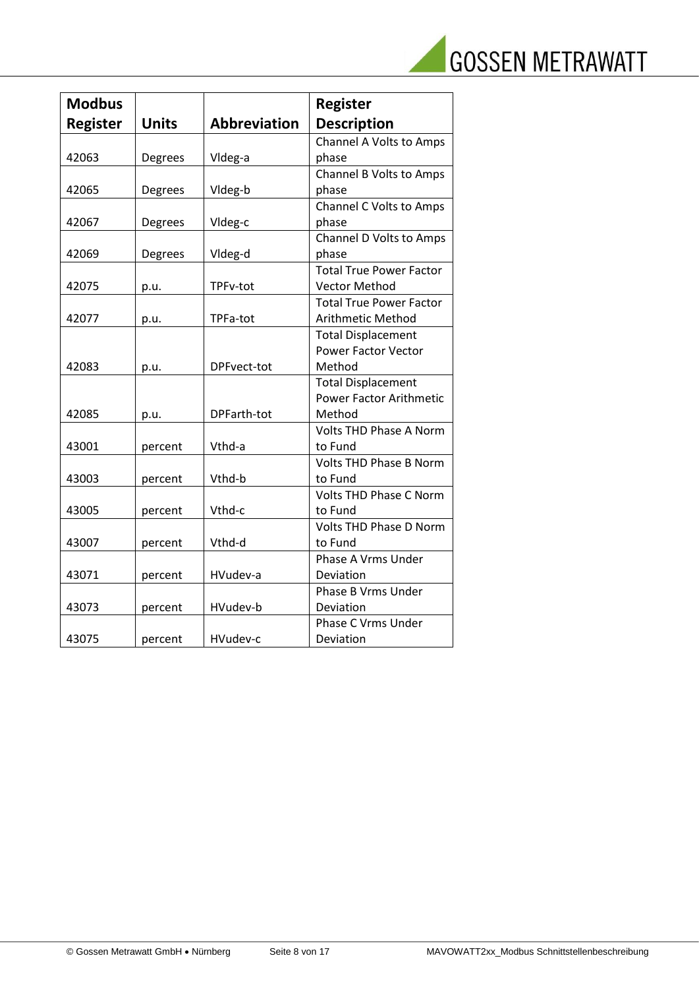|  | <b>GOSSEN METRAWATT</b> |
|--|-------------------------|
|  |                         |

| <b>Modbus</b>   |              |                     | <b>Register</b>                |
|-----------------|--------------|---------------------|--------------------------------|
| <b>Register</b> | <b>Units</b> | <b>Abbreviation</b> | <b>Description</b>             |
|                 |              |                     | Channel A Volts to Amps        |
| 42063           | Degrees      | Vldeg-a             | phase                          |
|                 |              |                     | Channel B Volts to Amps        |
| 42065           | Degrees      | Vldeg-b             | phase                          |
|                 |              |                     | <b>Channel C Volts to Amps</b> |
| 42067           | Degrees      | Vldeg-c             | phase                          |
|                 |              |                     | Channel D Volts to Amps        |
| 42069           | Degrees      | Vldeg-d             | phase                          |
|                 |              |                     | <b>Total True Power Factor</b> |
| 42075           | p.u.         | TPFv-tot            | <b>Vector Method</b>           |
|                 |              |                     | <b>Total True Power Factor</b> |
| 42077           | p.u.         | TPFa-tot            | Arithmetic Method              |
|                 |              |                     | <b>Total Displacement</b>      |
|                 |              |                     | <b>Power Factor Vector</b>     |
| 42083           | p.u.         | DPFvect-tot         | Method                         |
|                 |              |                     | <b>Total Displacement</b>      |
|                 |              |                     | <b>Power Factor Arithmetic</b> |
| 42085           | p.u.         | DPFarth-tot         | Method                         |
|                 |              |                     | <b>Volts THD Phase A Norm</b>  |
| 43001           | percent      | Vthd-a              | to Fund                        |
|                 |              |                     | <b>Volts THD Phase B Norm</b>  |
| 43003           | percent      | Vthd-b              | to Fund                        |
|                 |              |                     | Volts THD Phase C Norm         |
| 43005           | percent      | Vthd-c              | to Fund                        |
|                 |              |                     | <b>Volts THD Phase D Norm</b>  |
| 43007           | percent      | Vthd-d              | to Fund                        |
|                 |              |                     | Phase A Vrms Under             |
| 43071           | percent      | HVudev-a            | Deviation                      |
|                 |              |                     | Phase B Vrms Under             |
| 43073           | percent      | HVudev-b            | Deviation                      |
|                 |              |                     | <b>Phase C Vrms Under</b>      |
| 43075           | percent      | HVudev-c            | Deviation                      |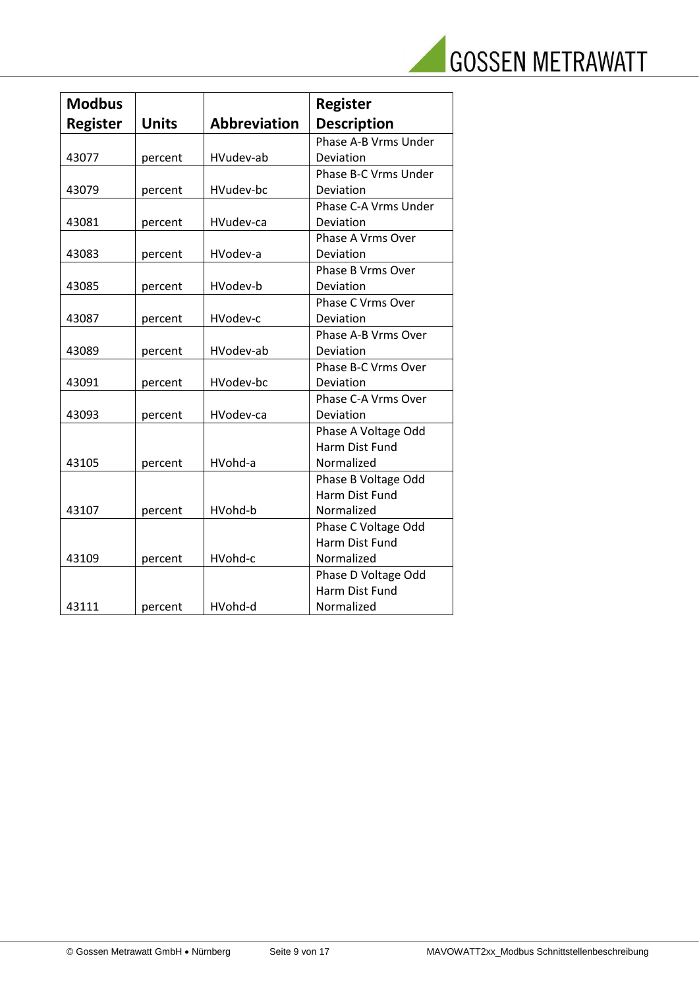|  | <b>GOSSEN METRAWATT</b> |
|--|-------------------------|
|  |                         |

| <b>Modbus</b>   |              |                     | <b>Register</b>          |
|-----------------|--------------|---------------------|--------------------------|
| <b>Register</b> | <b>Units</b> | <b>Abbreviation</b> | <b>Description</b>       |
|                 |              |                     | Phase A-B Vrms Under     |
| 43077           | percent      | HVudev-ab           | Deviation                |
|                 |              |                     | Phase B-C Vrms Under     |
| 43079           | percent      | HVudev-bc           | Deviation                |
|                 |              |                     | Phase C-A Vrms Under     |
| 43081           | percent      | HVudev-ca           | Deviation                |
|                 |              |                     | Phase A Vrms Over        |
| 43083           | percent      | HVodev-a            | Deviation                |
|                 |              |                     | <b>Phase B Vrms Over</b> |
| 43085           | percent      | HVodev-b            | Deviation                |
|                 |              |                     | <b>Phase C Vrms Over</b> |
| 43087           | percent      | HVodev-c            | Deviation                |
|                 |              |                     | Phase A-B Vrms Over      |
| 43089           | percent      | HVodev-ab           | Deviation                |
|                 |              |                     | Phase B-C Vrms Over      |
| 43091           | percent      | HVodev-bc           | Deviation                |
|                 |              |                     | Phase C-A Vrms Over      |
| 43093           | percent      | HVodev-ca           | Deviation                |
|                 |              |                     | Phase A Voltage Odd      |
|                 |              |                     | <b>Harm Dist Fund</b>    |
| 43105           | percent      | HVohd-a             | Normalized               |
|                 |              |                     | Phase B Voltage Odd      |
|                 |              |                     | Harm Dist Fund           |
| 43107           | percent      | HVohd-b             | Normalized               |
|                 |              |                     | Phase C Voltage Odd      |
|                 |              |                     | Harm Dist Fund           |
| 43109           | percent      | HVohd-c             | Normalized               |
|                 |              |                     | Phase D Voltage Odd      |
|                 |              |                     | Harm Dist Fund           |
| 43111           | percent      | HVohd-d             | Normalized               |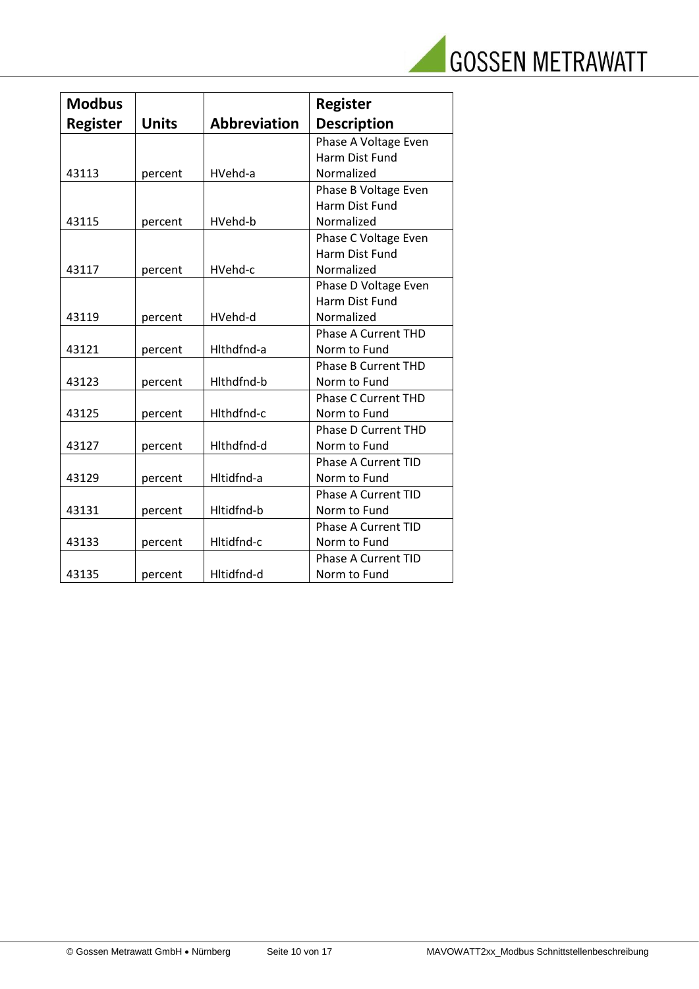

| <b>Modbus</b>   |              |                     | <b>Register</b>            |
|-----------------|--------------|---------------------|----------------------------|
| <b>Register</b> | <b>Units</b> | <b>Abbreviation</b> | <b>Description</b>         |
|                 |              |                     | Phase A Voltage Even       |
|                 |              |                     | <b>Harm Dist Fund</b>      |
| 43113           | percent      | HVehd-a             | Normalized                 |
|                 |              |                     | Phase B Voltage Even       |
|                 |              |                     | Harm Dist Fund             |
| 43115           | percent      | HVehd-b             | Normalized                 |
|                 |              |                     | Phase C Voltage Even       |
|                 |              |                     | Harm Dist Fund             |
| 43117           | percent      | HVehd-c             | Normalized                 |
|                 |              |                     | Phase D Voltage Even       |
|                 |              |                     | Harm Dist Fund             |
| 43119           | percent      | HVehd-d             | Normalized                 |
|                 |              |                     | <b>Phase A Current THD</b> |
| 43121           | percent      | Hlthdfnd-a          | Norm to Fund               |
|                 |              |                     | <b>Phase B Current THD</b> |
| 43123           | percent      | Hlthdfnd-b          | Norm to Fund               |
|                 |              |                     | <b>Phase C Current THD</b> |
| 43125           | percent      | Hithdfnd-c          | Norm to Fund               |
|                 |              |                     | <b>Phase D Current THD</b> |
| 43127           | percent      | Hlthdfnd-d          | Norm to Fund               |
|                 |              |                     | <b>Phase A Current TID</b> |
| 43129           | percent      | Hltidfnd-a          | Norm to Fund               |
|                 |              |                     | <b>Phase A Current TID</b> |
| 43131           | percent      | Hltidfnd-b          | Norm to Fund               |
|                 |              |                     | <b>Phase A Current TID</b> |
| 43133           | percent      | Hltidfnd-c          | Norm to Fund               |
|                 |              |                     | <b>Phase A Current TID</b> |
| 43135           | percent      | Hltidfnd-d          | Norm to Fund               |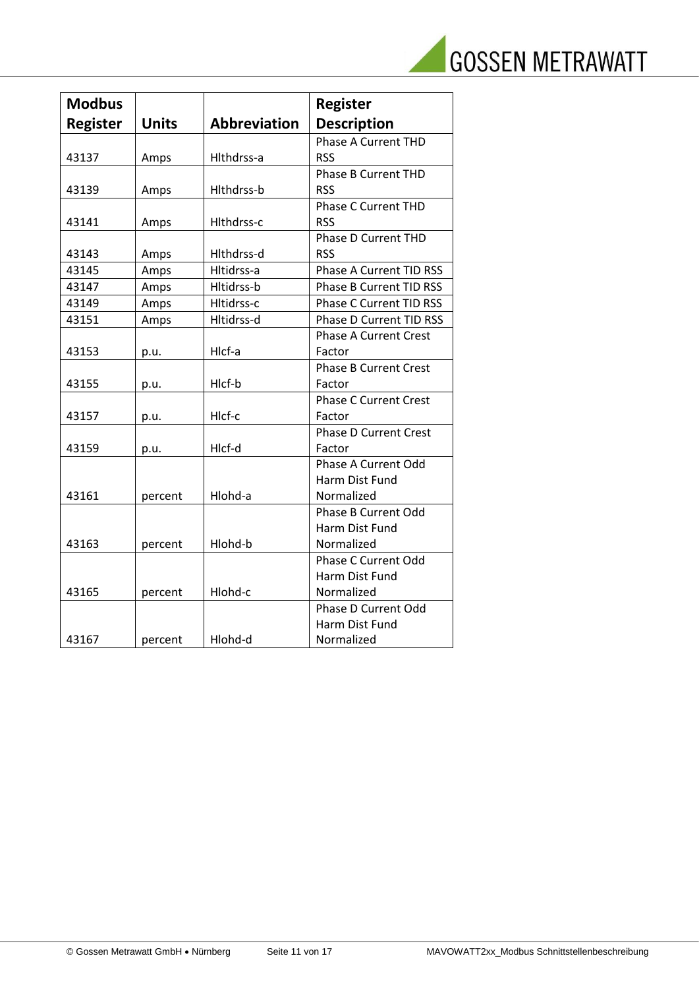|  | <b>GOSSEN METRAWATT</b> |
|--|-------------------------|
|  |                         |

z

| <b>Modbus</b>   |              |                     | <b>Register</b>                |
|-----------------|--------------|---------------------|--------------------------------|
| <b>Register</b> | <b>Units</b> | <b>Abbreviation</b> | <b>Description</b>             |
|                 |              |                     | <b>Phase A Current THD</b>     |
| 43137           | Amps         | Hlthdrss-a          | <b>RSS</b>                     |
|                 |              |                     | <b>Phase B Current THD</b>     |
| 43139           | Amps         | Hlthdrss-b          | <b>RSS</b>                     |
|                 |              |                     | <b>Phase C Current THD</b>     |
| 43141           | Amps         | Hlthdrss-c          | <b>RSS</b>                     |
|                 |              |                     | <b>Phase D Current THD</b>     |
| 43143           | Amps         | Hlthdrss-d          | <b>RSS</b>                     |
| 43145           | Amps         | Hltidrss-a          | <b>Phase A Current TID RSS</b> |
| 43147           | Amps         | Hltidrss-b          | <b>Phase B Current TID RSS</b> |
| 43149           | Amps         | Hltidrss-c          | Phase C Current TID RSS        |
| 43151           | Amps         | Hltidrss-d          | <b>Phase D Current TID RSS</b> |
|                 |              |                     | <b>Phase A Current Crest</b>   |
| 43153           | p.u.         | Hlcf-a              | Factor                         |
|                 |              |                     | <b>Phase B Current Crest</b>   |
| 43155           | p.u.         | Hlcf-b              | Factor                         |
|                 |              |                     | <b>Phase C Current Crest</b>   |
| 43157           | p.u.         | HIcf-c              | Factor                         |
|                 |              |                     | <b>Phase D Current Crest</b>   |
| 43159           | p.u.         | Hlcf-d              | Factor                         |
|                 |              |                     | <b>Phase A Current Odd</b>     |
|                 |              |                     | Harm Dist Fund                 |
| 43161           | percent      | Hlohd-a             | Normalized                     |
|                 |              |                     | <b>Phase B Current Odd</b>     |
|                 |              |                     | Harm Dist Fund                 |
| 43163           | percent      | Hlohd-b             | Normalized                     |
|                 |              |                     | Phase C Current Odd            |
|                 |              |                     | Harm Dist Fund                 |
| 43165           | percent      | Hlohd-c             | Normalized                     |
|                 |              |                     | Phase D Current Odd            |
|                 |              |                     | Harm Dist Fund                 |
| 43167           | percent      | Hlohd-d             | Normalized                     |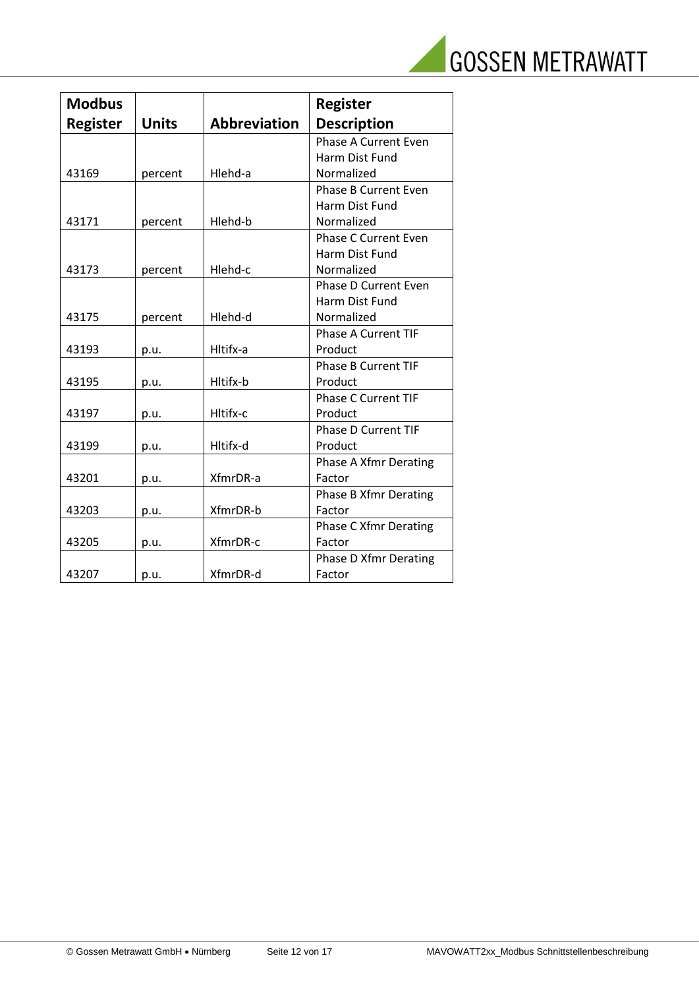

| <b>Modbus</b>   |              |                     | <b>Register</b>              |
|-----------------|--------------|---------------------|------------------------------|
| <b>Register</b> | <b>Units</b> | <b>Abbreviation</b> | <b>Description</b>           |
|                 |              |                     | <b>Phase A Current Even</b>  |
|                 |              |                     | Harm Dist Fund               |
| 43169           | percent      | Hlehd-a             | Normalized                   |
|                 |              |                     | <b>Phase B Current Even</b>  |
|                 |              |                     | Harm Dist Fund               |
| 43171           | percent      | Hlehd-b             | Normalized                   |
|                 |              |                     | <b>Phase C Current Even</b>  |
|                 |              |                     | Harm Dist Fund               |
| 43173           | percent      | Hlehd-c             | Normalized                   |
|                 |              |                     | <b>Phase D Current Even</b>  |
|                 |              |                     | Harm Dist Fund               |
| 43175           | percent      | Hlehd-d             | Normalized                   |
|                 |              |                     | <b>Phase A Current TIF</b>   |
| 43193           | p.u.         | Hltifx-a            | Product                      |
|                 |              |                     | <b>Phase B Current TIF</b>   |
| 43195           | p.u.         | Hltifx-b            | Product                      |
|                 |              |                     | <b>Phase C Current TIF</b>   |
| 43197           | p.u.         | Hltifx-c            | Product                      |
|                 |              |                     | <b>Phase D Current TIF</b>   |
| 43199           | p.u.         | Hltifx-d            | Product                      |
|                 |              |                     | Phase A Xfmr Derating        |
| 43201           | p.u.         | XfmrDR-a            | Factor                       |
|                 |              |                     | <b>Phase B Xfmr Derating</b> |
| 43203           | p.u.         | XfmrDR-b            | Factor                       |
|                 |              |                     | <b>Phase C Xfmr Derating</b> |
| 43205           | p.u.         | XfmrDR-c            | Factor                       |
|                 |              |                     | <b>Phase D Xfmr Derating</b> |
| 43207           | p.u.         | XfmrDR-d            | Factor                       |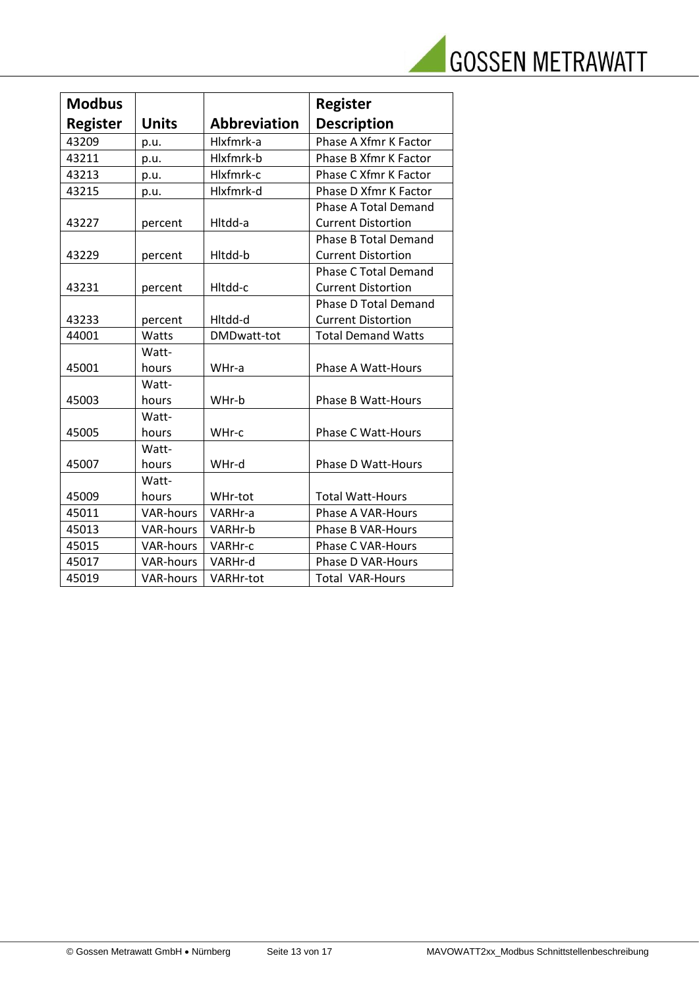

| <b>Modbus</b>   |                  |                     | <b>Register</b>              |
|-----------------|------------------|---------------------|------------------------------|
| <b>Register</b> | <b>Units</b>     | <b>Abbreviation</b> | <b>Description</b>           |
| 43209           | p.u.             | Hlxfmrk-a           | Phase A Xfmr K Factor        |
| 43211           | p.u.             | Hlxfmrk-b           | <b>Phase B Xfmr K Factor</b> |
| 43213           | p.u.             | Hlxfmrk-c           | Phase C Xfmr K Factor        |
| 43215           | p.u.             | Hlxfmrk-d           | Phase D Xfmr K Factor        |
|                 |                  |                     | <b>Phase A Total Demand</b>  |
| 43227           | percent          | Hltdd-a             | <b>Current Distortion</b>    |
|                 |                  |                     | <b>Phase B Total Demand</b>  |
| 43229           | percent          | Hltdd-b             | <b>Current Distortion</b>    |
|                 |                  |                     | <b>Phase C Total Demand</b>  |
| 43231           | percent          | Hltdd-c             | <b>Current Distortion</b>    |
|                 |                  |                     | <b>Phase D Total Demand</b>  |
| 43233           | percent          | Hltdd-d             | <b>Current Distortion</b>    |
| 44001           | Watts            | DMDwatt-tot         | <b>Total Demand Watts</b>    |
|                 | Watt-            |                     |                              |
| 45001           | hours            | WHr-a               | Phase A Watt-Hours           |
|                 | Watt-            |                     |                              |
| 45003           | hours            | WHr-b               | <b>Phase B Watt-Hours</b>    |
|                 | Watt-            |                     |                              |
| 45005           | hours            | WHr-c               | <b>Phase C Watt-Hours</b>    |
|                 | Watt-            |                     |                              |
| 45007           | hours            | WHr-d               | Phase D Watt-Hours           |
|                 | Watt-            |                     |                              |
| 45009           | hours            | WHr-tot             | <b>Total Watt-Hours</b>      |
| 45011           | <b>VAR-hours</b> | VARHr-a             | Phase A VAR-Hours            |
| 45013           | <b>VAR-hours</b> | VARHr-b             | Phase B VAR-Hours            |
| 45015           | <b>VAR-hours</b> | VARHr-c             | <b>Phase C VAR-Hours</b>     |
| 45017           | <b>VAR-hours</b> | VARHr-d             | Phase D VAR-Hours            |
| 45019           | <b>VAR-hours</b> | <b>VARHr-tot</b>    | <b>Total VAR-Hours</b>       |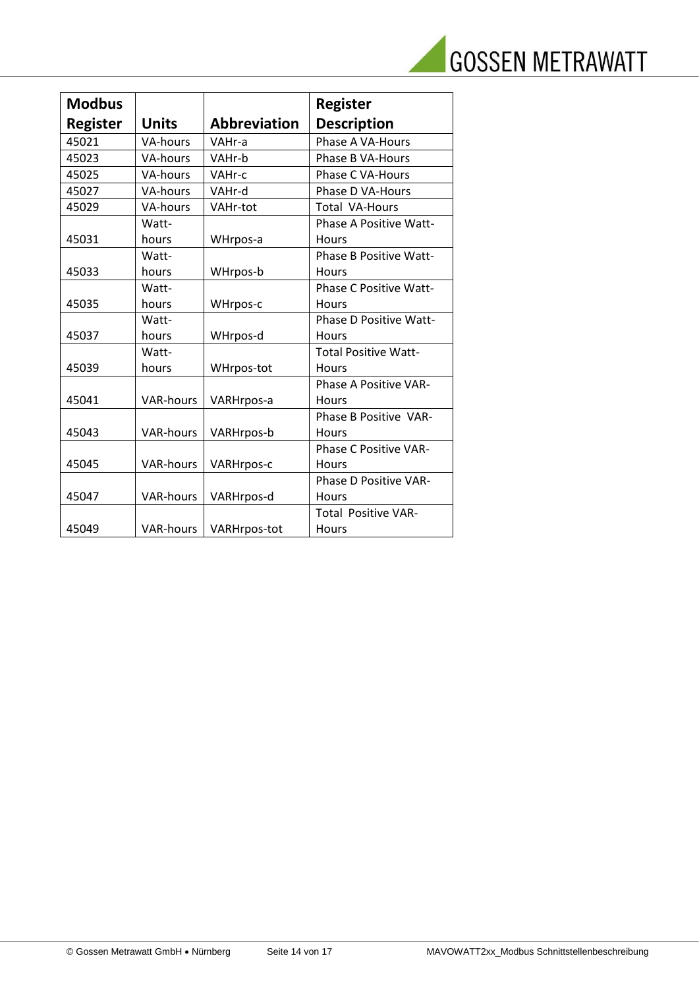

| <b>Modbus</b>   |                  |                     | <b>Register</b>               |
|-----------------|------------------|---------------------|-------------------------------|
| <b>Register</b> | <b>Units</b>     | <b>Abbreviation</b> | <b>Description</b>            |
| 45021           | <b>VA-hours</b>  | VAHr-a              | Phase A VA-Hours              |
| 45023           | VA-hours         | VAHr-b              | Phase B VA-Hours              |
| 45025           | VA-hours         | VAHr-c              | Phase C VA-Hours              |
| 45027           | <b>VA-hours</b>  | VAHr-d              | Phase D VA-Hours              |
| 45029           | <b>VA-hours</b>  | VAHr-tot            | <b>Total VA-Hours</b>         |
|                 | Watt-            |                     | <b>Phase A Positive Watt-</b> |
| 45031           | hours            | WHrpos-a            | <b>Hours</b>                  |
|                 | Watt-            |                     | <b>Phase B Positive Watt-</b> |
| 45033           | hours            | WHrpos-b            | Hours                         |
|                 | Watt-            |                     | <b>Phase C Positive Watt-</b> |
| 45035           | hours            | WHrpos-c            | Hours                         |
|                 | Watt-            |                     | <b>Phase D Positive Watt-</b> |
| 45037           | hours            | WHrpos-d            | <b>Hours</b>                  |
|                 | Watt-            |                     | <b>Total Positive Watt-</b>   |
| 45039           | hours            | WHrpos-tot          | <b>Hours</b>                  |
|                 |                  |                     | <b>Phase A Positive VAR-</b>  |
| 45041           | <b>VAR-hours</b> | VARHrpos-a          | Hours                         |
|                 |                  |                     | Phase B Positive VAR-         |
| 45043           | <b>VAR-hours</b> | VARHrpos-b          | <b>Hours</b>                  |
|                 |                  |                     | <b>Phase C Positive VAR-</b>  |
| 45045           | <b>VAR-hours</b> | VARHrpos-c          | <b>Hours</b>                  |
|                 |                  |                     | <b>Phase D Positive VAR-</b>  |
| 45047           | <b>VAR-hours</b> | VARHrpos-d          | <b>Hours</b>                  |
|                 |                  |                     | <b>Total Positive VAR-</b>    |
| 45049           | <b>VAR-hours</b> | <b>VARHrpos-tot</b> | Hours                         |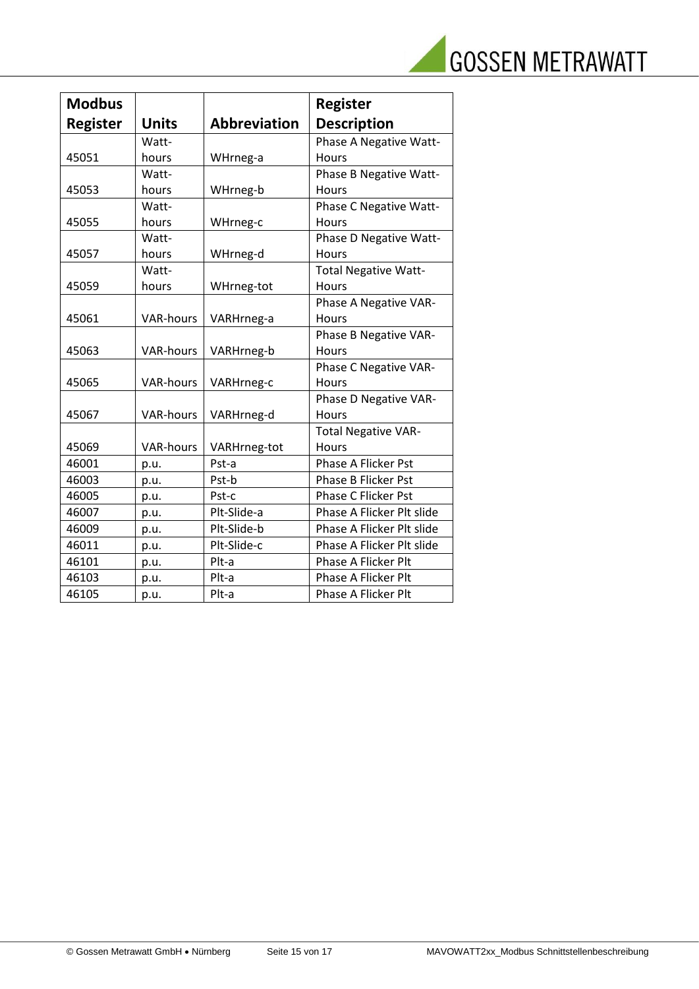

| <b>Modbus</b>   |                  |                     | <b>Register</b>             |
|-----------------|------------------|---------------------|-----------------------------|
| <b>Register</b> | <b>Units</b>     | <b>Abbreviation</b> | <b>Description</b>          |
|                 | Watt-            |                     | Phase A Negative Watt-      |
| 45051           | hours            | WHrneg-a            | <b>Hours</b>                |
|                 | Watt-            |                     | Phase B Negative Watt-      |
| 45053           | hours            | WHrneg-b            | Hours                       |
|                 | Watt-            |                     | Phase C Negative Watt-      |
| 45055           | hours            | WHrneg-c            | Hours                       |
|                 | Watt-            |                     | Phase D Negative Watt-      |
| 45057           | hours            | WHrneg-d            | Hours                       |
|                 | Watt-            |                     | <b>Total Negative Watt-</b> |
| 45059           | hours            | WHrneg-tot          | Hours                       |
|                 |                  |                     | Phase A Negative VAR-       |
| 45061           | <b>VAR-hours</b> | VARHrneg-a          | <b>Hours</b>                |
|                 |                  |                     | Phase B Negative VAR-       |
| 45063           | <b>VAR-hours</b> | VARHrneg-b          | <b>Hours</b>                |
|                 |                  |                     | Phase C Negative VAR-       |
| 45065           | <b>VAR-hours</b> | VARHrneg-c          | Hours                       |
|                 |                  |                     | Phase D Negative VAR-       |
| 45067           | <b>VAR-hours</b> | VARHrneg-d          | Hours                       |
|                 |                  |                     | <b>Total Negative VAR-</b>  |
| 45069           | <b>VAR-hours</b> | VARHrneg-tot        | Hours                       |
| 46001           | p.u.             | Pst-a               | <b>Phase A Flicker Pst</b>  |
| 46003           | p.u.             | Pst-b               | Phase B Flicker Pst         |
| 46005           | p.u.             | Pst-c               | <b>Phase C Flicker Pst</b>  |
| 46007           | p.u.             | Plt-Slide-a         | Phase A Flicker Plt slide   |
| 46009           | p.u.             | Plt-Slide-b         | Phase A Flicker Plt slide   |
| 46011           | p.u.             | Plt-Slide-c         | Phase A Flicker Plt slide   |
| 46101           | p.u.             | Plt-a               | Phase A Flicker Plt         |
| 46103           | p.u.             | Plt-a               | Phase A Flicker Plt         |
| 46105           | p.u.             | Plt-a               | Phase A Flicker Plt         |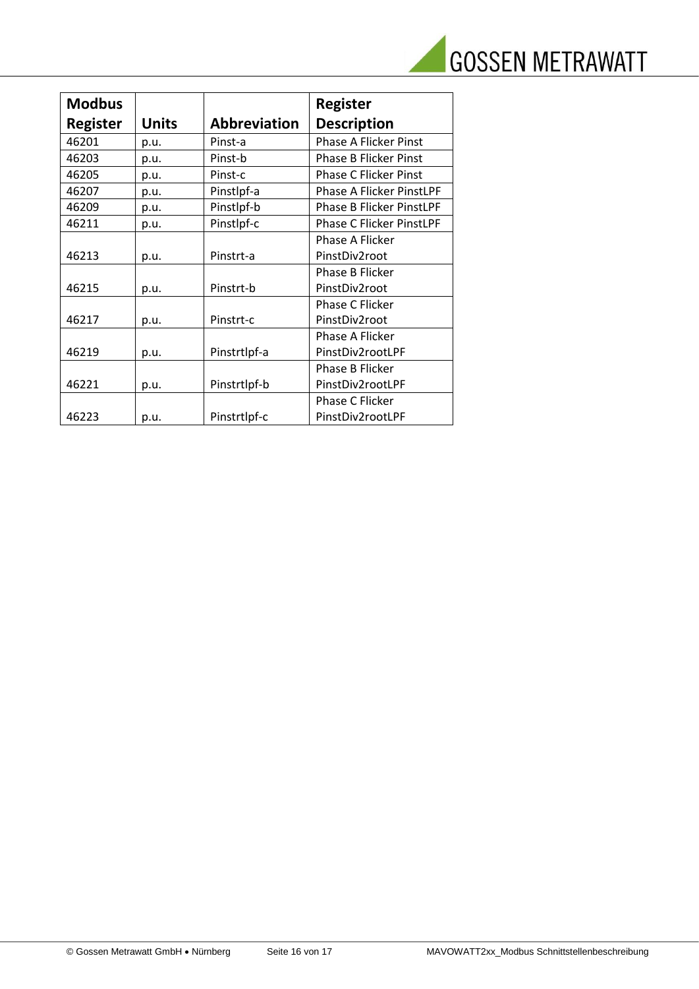

| <b>Modbus</b>   |              |                     | <b>Register</b>                 |
|-----------------|--------------|---------------------|---------------------------------|
| <b>Register</b> | <b>Units</b> | <b>Abbreviation</b> | <b>Description</b>              |
| 46201           | p.u.         | Pinst-a             | <b>Phase A Flicker Pinst</b>    |
| 46203           | p.u.         | Pinst-b             | <b>Phase B Flicker Pinst</b>    |
| 46205           | p.u.         | Pinst-c             | <b>Phase C Flicker Pinst</b>    |
| 46207           | p.u.         | Pinstlpf-a          | <b>Phase A Flicker PinstLPF</b> |
| 46209           | p.u.         | Pinstlpf-b          | <b>Phase B Flicker PinstLPF</b> |
| 46211           | p.u.         | Pinstlpf-c          | <b>Phase C Flicker PinstLPF</b> |
|                 |              |                     | Phase A Flicker                 |
| 46213           | p.u.         | Pinstrt-a           | PinstDiv2root                   |
|                 |              |                     | <b>Phase B Flicker</b>          |
| 46215           | p.u.         | Pinstrt-b           | PinstDiv2root                   |
|                 |              |                     | Phase C Flicker                 |
| 46217           | p.u.         | Pinstrt-c           | PinstDiv2root                   |
|                 |              |                     | Phase A Flicker                 |
| 46219           | p.u.         | Pinstrtlpf-a        | PinstDiv2rootLPF                |
|                 |              |                     | Phase B Flicker                 |
| 46221           | p.u.         | Pinstrtlpf-b        | PinstDiv2rootLPF                |
|                 |              |                     | Phase C Flicker                 |
| 46223           | p.u.         | Pinstrtlpf-c        | PinstDiv2rootLPF                |